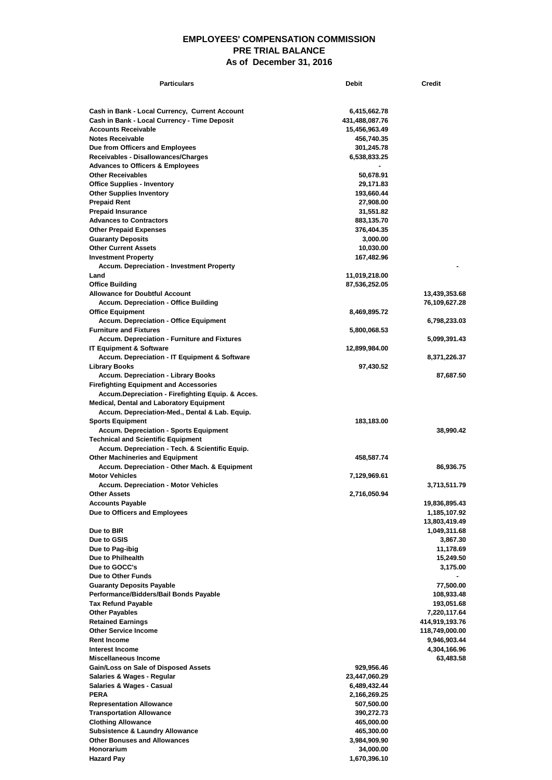## **EMPLOYEES' COMPENSATION COMMISSION PRE TRIAL BALANCE As of December 31, 2016**

| <b>Particulars</b>                                                                  | <b>Debit</b>                | <b>Credit</b>              |
|-------------------------------------------------------------------------------------|-----------------------------|----------------------------|
|                                                                                     |                             |                            |
| Cash in Bank - Local Currency, Current Account                                      | 6,415,662.78                |                            |
| Cash in Bank - Local Currency - Time Deposit                                        | 431,488,087.76              |                            |
| <b>Accounts Receivable</b>                                                          | 15,456,963.49               |                            |
| <b>Notes Receivable</b>                                                             | 456,740.35                  |                            |
| Due from Officers and Employees<br>Receivables - Disallowances/Charges              | 301,245.78<br>6,538,833.25  |                            |
| <b>Advances to Officers &amp; Employees</b>                                         |                             |                            |
| <b>Other Receivables</b>                                                            | 50,678.91                   |                            |
| <b>Office Supplies - Inventory</b>                                                  | 29,171.83                   |                            |
| <b>Other Supplies Inventory</b>                                                     | 193,660.44                  |                            |
| <b>Prepaid Rent</b>                                                                 | 27,908.00                   |                            |
| <b>Prepaid Insurance</b><br><b>Advances to Contractors</b>                          | 31,551.82<br>883,135.70     |                            |
| <b>Other Prepaid Expenses</b>                                                       | 376,404.35                  |                            |
| <b>Guaranty Deposits</b>                                                            | 3,000.00                    |                            |
| <b>Other Current Assets</b>                                                         | 10,030.00                   |                            |
| <b>Investment Property</b>                                                          | 167,482.96                  |                            |
| <b>Accum. Depreciation - Investment Property</b>                                    |                             |                            |
| Land<br><b>Office Building</b>                                                      | 11,019,218.00               |                            |
| <b>Allowance for Doubtful Account</b>                                               | 87,536,252.05               | 13,439,353.68              |
| <b>Accum. Depreciation - Office Building</b>                                        |                             | 76,109,627.28              |
| <b>Office Equipment</b>                                                             | 8,469,895.72                |                            |
| <b>Accum. Depreciation - Office Equipment</b>                                       |                             | 6,798,233.03               |
| <b>Furniture and Fixtures</b>                                                       | 5,800,068.53                |                            |
| <b>Accum. Depreciation - Furniture and Fixtures</b>                                 |                             | 5,099,391.43               |
| <b>IT Equipment &amp; Software</b><br>Accum. Depreciation - IT Equipment & Software | 12,899,984.00               | 8,371,226.37               |
| Library Books                                                                       | 97,430.52                   |                            |
| <b>Accum. Depreciation - Library Books</b>                                          |                             | 87,687.50                  |
| <b>Firefighting Equipment and Accessories</b>                                       |                             |                            |
| Accum.Depreciation - Firefighting Equip. & Acces.                                   |                             |                            |
| <b>Medical, Dental and Laboratory Equipment</b>                                     |                             |                            |
| Accum. Depreciation-Med., Dental & Lab. Equip.<br><b>Sports Equipment</b>           | 183,183.00                  |                            |
| <b>Accum. Depreciation - Sports Equipment</b>                                       |                             | 38,990.42                  |
| <b>Technical and Scientific Equipment</b>                                           |                             |                            |
| Accum. Depreciation - Tech. & Scientific Equip.                                     |                             |                            |
| <b>Other Machineries and Equipment</b>                                              | 458,587.74                  |                            |
| Accum. Depreciation - Other Mach. & Equipment                                       |                             | 86,936.75                  |
| <b>Motor Vehicles</b><br><b>Accum. Depreciation - Motor Vehicles</b>                | 7,129,969.61                | 3,713,511.79               |
| <b>Other Assets</b>                                                                 | 2,716,050.94                |                            |
| <b>Accounts Payable</b>                                                             |                             | 19,836,895.43              |
| Due to Officers and Employees                                                       |                             | 1,185,107.92               |
|                                                                                     |                             | 13,803,419.49              |
| Due to BIR                                                                          |                             | 1,049,311.68               |
| Due to GSIS<br>Due to Pag-ibig                                                      |                             | 3,867.30<br>11,178.69      |
| Due to Philhealth                                                                   |                             | 15,249.50                  |
| Due to GOCC's                                                                       |                             | 3,175.00                   |
| Due to Other Funds                                                                  |                             | $\blacksquare$             |
| <b>Guaranty Deposits Payable</b>                                                    |                             | 77,500.00                  |
| Performance/Bidders/Bail Bonds Payable                                              |                             | 108,933.48                 |
| <b>Tax Refund Payable</b><br><b>Other Payables</b>                                  |                             | 193,051.68<br>7,220,117.64 |
| <b>Retained Earnings</b>                                                            |                             | 414,919,193.76             |
| <b>Other Service Income</b>                                                         |                             | 118,749,000.00             |
| <b>Rent Income</b>                                                                  |                             | 9,946,903.44               |
| Interest Income                                                                     |                             | 4,304,166.96               |
| <b>Miscellaneous Income</b>                                                         |                             | 63,483.58                  |
| Gain/Loss on Sale of Disposed Assets<br>Salaries & Wages - Regular                  | 929,956.46<br>23,447,060.29 |                            |
| <b>Salaries &amp; Wages - Casual</b>                                                | 6,489,432.44                |                            |
| <b>PERA</b>                                                                         | 2,166,269.25                |                            |
| <b>Representation Allowance</b>                                                     | 507,500.00                  |                            |
| <b>Transportation Allowance</b>                                                     | 390,272.73                  |                            |
| <b>Clothing Allowance</b>                                                           | 465,000.00                  |                            |
| <b>Subsistence &amp; Laundry Allowance</b><br><b>Other Bonuses and Allowances</b>   | 465,300.00<br>3,984,909.90  |                            |
| Honorarium                                                                          | 34,000.00                   |                            |
| <b>Hazard Pay</b>                                                                   | 1,670,396.10                |                            |